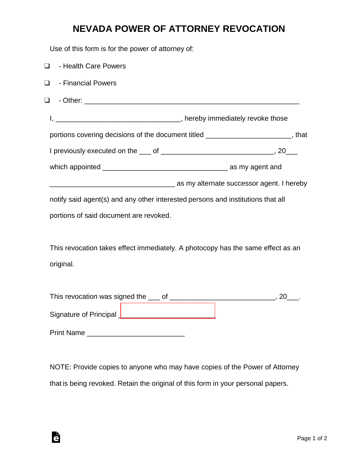## **NEVADA POWER OF ATTORNEY REVOCATION**

Use of this form is for the power of attorney of:

| $\Box$                                                                          | - Health Care Powers                                                                  |  |
|---------------------------------------------------------------------------------|---------------------------------------------------------------------------------------|--|
| $\Box$                                                                          | - Financial Powers                                                                    |  |
| $\Box$                                                                          |                                                                                       |  |
|                                                                                 |                                                                                       |  |
|                                                                                 | portions covering decisions of the document titled _______________________, that      |  |
|                                                                                 |                                                                                       |  |
|                                                                                 |                                                                                       |  |
|                                                                                 | as my alternate successor agent. I hereby interface surface successor agent. I hereby |  |
| notify said agent(s) and any other interested persons and institutions that all |                                                                                       |  |
|                                                                                 | portions of said document are revoked.                                                |  |
|                                                                                 |                                                                                       |  |
| This revocation takes effect immediately. A photocopy has the same effect as an |                                                                                       |  |
|                                                                                 | original.                                                                             |  |
|                                                                                 |                                                                                       |  |
|                                                                                 |                                                                                       |  |
|                                                                                 |                                                                                       |  |

Print Name \_\_\_\_\_\_\_\_\_\_\_\_\_\_\_\_\_\_\_\_\_\_\_\_\_

Ġ

NOTE: Provide copies to anyone who may have copies of the Power of Attorney that is being revoked. Retain the original of this form in your personal papers.